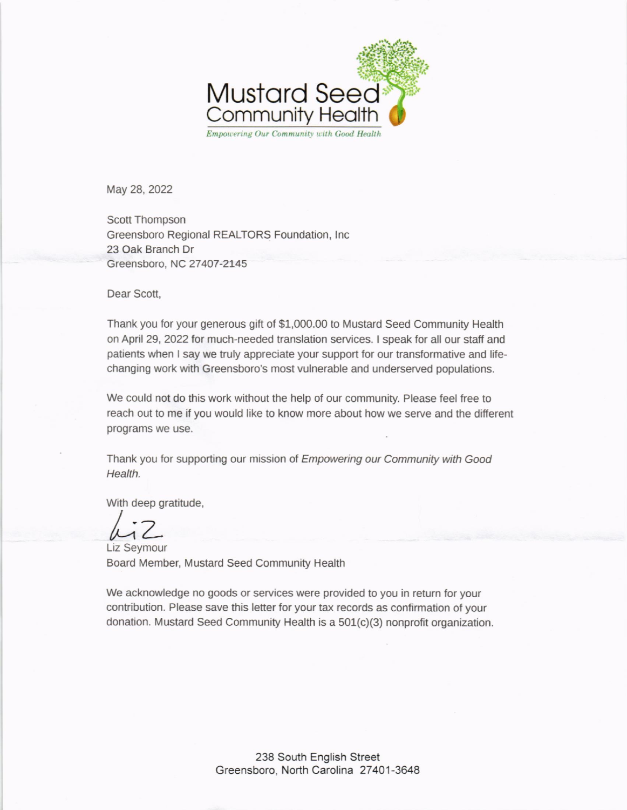

May 28, 2022

Scott Thompson Greensboro Regional REALTORS Foundation, lnc 23 Oak Branch Dr Greensboro, NC 27 407-2145

Dear Scott,

Thank you for your generous gift of \$1,000.00 to Mustard Seed Community Health on April 29, 2022 for much-needed translation services. I speak for all our staff and patients when I say we truly appreciate your support for our transformative and lifechanging work with Greensboro's most vulnerable and underserved populations.

We could not do this work without the help of our community. Please feel free to reach out to me if you would like to know more about how we serve and the different programs we use.

Thank you for supporting our mission of *Empowering our Community with Good* Health.

With deep gratitude,

 $1/2$ 

Liz Seymour Board Member, Mustard Seed Community Health

We acknowledge no goods or services were provided to you in return for your contribution. Please save this letter for your tax records as confirmation of your donation. Mustard Seed Community Health is a 501(c)(3) nonprofit organization.